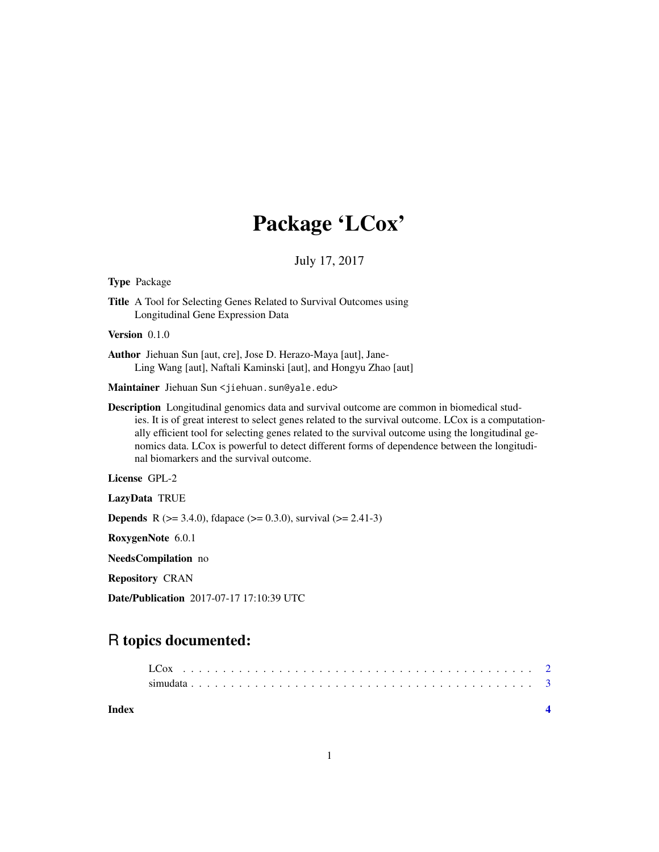## Package 'LCox'

July 17, 2017

Type Package

Title A Tool for Selecting Genes Related to Survival Outcomes using Longitudinal Gene Expression Data

Version 0.1.0

Author Jiehuan Sun [aut, cre], Jose D. Herazo-Maya [aut], Jane-Ling Wang [aut], Naftali Kaminski [aut], and Hongyu Zhao [aut]

Maintainer Jiehuan Sun <jiehuan.sun@yale.edu>

Description Longitudinal genomics data and survival outcome are common in biomedical studies. It is of great interest to select genes related to the survival outcome. LCox is a computationally efficient tool for selecting genes related to the survival outcome using the longitudinal genomics data. LCox is powerful to detect different forms of dependence between the longitudinal biomarkers and the survival outcome.

License GPL-2

LazyData TRUE

**Depends** R ( $>= 3.4.0$ ), fdapace ( $>= 0.3.0$ ), survival ( $>= 2.41-3$ )

RoxygenNote 6.0.1

NeedsCompilation no

Repository CRAN

Date/Publication 2017-07-17 17:10:39 UTC

### R topics documented:

| Index |  |  |  |  |  |  |  |  |  |  |  |  |  |  |  |  |  |  |  |
|-------|--|--|--|--|--|--|--|--|--|--|--|--|--|--|--|--|--|--|--|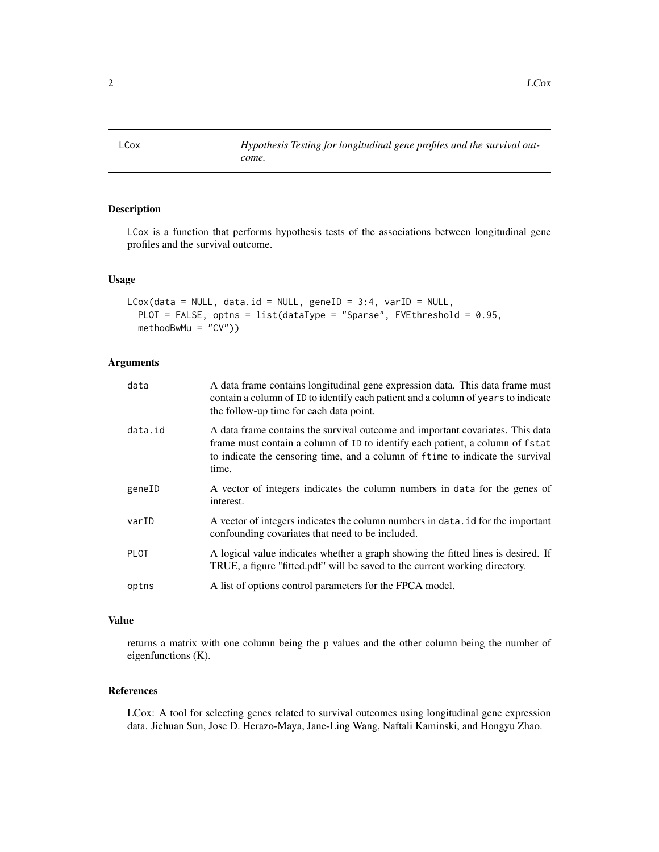<span id="page-1-0"></span>LCox *Hypothesis Testing for longitudinal gene profiles and the survival outcome.*

#### Description

LCox is a function that performs hypothesis tests of the associations between longitudinal gene profiles and the survival outcome.

#### Usage

```
LCox(data = NULL, data.id = NULL, geneID = 3:4, varID = NULL,PLOT = FALSE, optns = list(dataType = "Sparse", FVEthreshold = 0.95,
 methodBwMu = "CV"))
```
#### Arguments

| data        | A data frame contains longitudinal gene expression data. This data frame must<br>contain a column of ID to identify each patient and a column of years to indicate<br>the follow-up time for each data point.                                               |
|-------------|-------------------------------------------------------------------------------------------------------------------------------------------------------------------------------------------------------------------------------------------------------------|
| data.id     | A data frame contains the survival outcome and important covariates. This data<br>frame must contain a column of ID to identify each patient, a column of fstat<br>to indicate the censoring time, and a column of f time to indicate the survival<br>time. |
| geneID      | A vector of integers indicates the column numbers in data for the genes of<br>interest.                                                                                                                                                                     |
| varID       | A vector of integers indicates the column numbers in data. id for the important<br>confounding covariates that need to be included.                                                                                                                         |
| <b>PLOT</b> | A logical value indicates whether a graph showing the fitted lines is desired. If<br>TRUE, a figure "fitted.pdf" will be saved to the current working directory.                                                                                            |
| optns       | A list of options control parameters for the FPCA model.                                                                                                                                                                                                    |

#### Value

returns a matrix with one column being the p values and the other column being the number of eigenfunctions (K).

#### References

LCox: A tool for selecting genes related to survival outcomes using longitudinal gene expression data. Jiehuan Sun, Jose D. Herazo-Maya, Jane-Ling Wang, Naftali Kaminski, and Hongyu Zhao.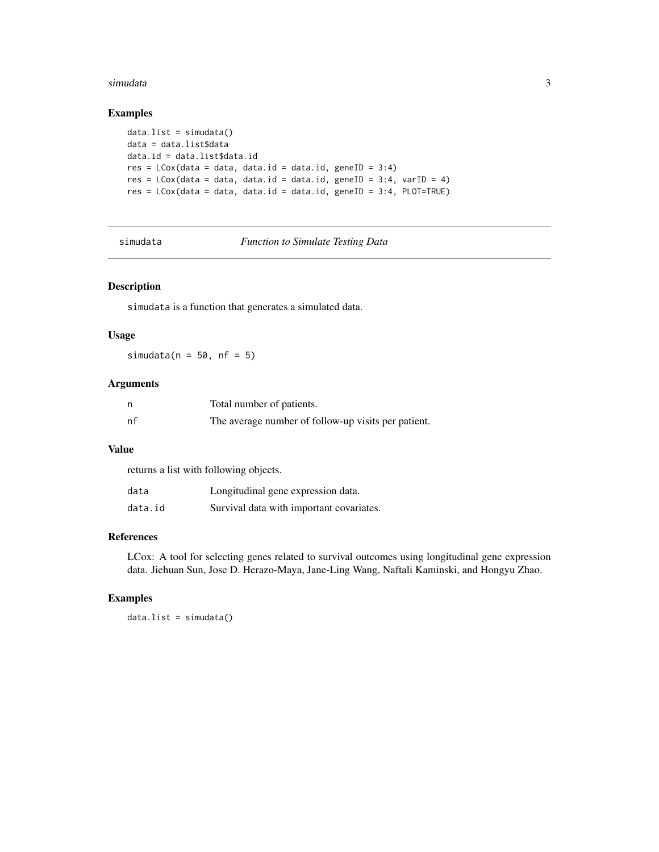#### <span id="page-2-0"></span>simudata 3

#### Examples

```
data.list = simudata()
data = data.list$data
data.id = data.list$data.id
res = LCox(data = data, data.id = data.id, geneID = 3:4)res = LCox(data = data, data.id = data.id, geneID = 3:4, varID = 4)res = LCox(data = data, data.id = data.id, geneID = 3:4, PLOT=TRUE)
```
simudata *Function to Simulate Testing Data*

#### Description

simudata is a function that generates a simulated data.

#### Usage

simudata( $n = 50$ ,  $nf = 5$ )

#### Arguments

|    | Total number of patients.                           |
|----|-----------------------------------------------------|
| nf | The average number of follow-up visits per patient. |

#### Value

returns a list with following objects.

| data    | Longitudinal gene expression data.       |
|---------|------------------------------------------|
| data.id | Survival data with important covariates. |

#### References

LCox: A tool for selecting genes related to survival outcomes using longitudinal gene expression data. Jiehuan Sun, Jose D. Herazo-Maya, Jane-Ling Wang, Naftali Kaminski, and Hongyu Zhao.

#### Examples

data.list = simudata()